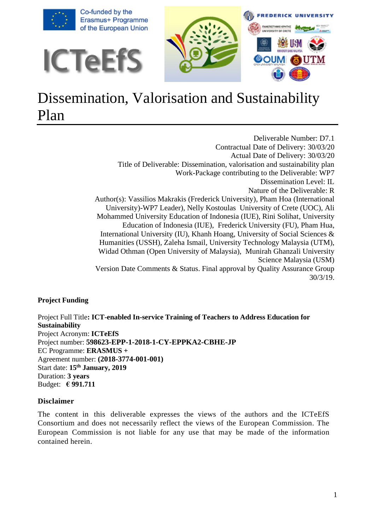

# Dissemination, Valorisation and Sustainability Plan

Deliverable Number: D7.1 Contractual Date of Delivery: 30/03/20 Actual Date of Delivery: 30/03/20 Title of Deliverable: Dissemination, valorisation and sustainability plan Work-Package contributing to the Deliverable: WP7 Dissemination Level: IL Nature of the Deliverable: R Author(s): Vassilios Makrakis (Frederick University), Pham Hoa (International University)-WP7 Leader), Nelly Kostoulas University of Crete (UOC), Ali Mohammed University Education of Indonesia (IUE), Rini Solihat, University Education of Indonesia (IUE), Frederick University (FU), Pham Hua, International University (IU), Khanh Hoang, University of Social Sciences & Humanities (USSH), Zaleha Ismail, University Technology Malaysia (UTM), Widad Othman (Open University of Malaysia), Munirah Ghanzali University Science Malaysia (USM) Version Date Comments & Status. Final approval by Quality Assurance Group 30/3/19.

## **Project Funding**

Project Full Title**: ICT-enabled In-service Training of Teachers to Address Education for Sustainability** Project Acronym: **ICTeEfS** Project number: **598623-EPP-1-2018-1-CY-EPPKA2-CBHE-JP** EC Programme: **ERASMUS +** Agreement number: **(2018-3774-001-001)** Start date: **15th January, 2019** Duration: **3 years**  Budget: **€ 991.711**

#### **Disclaimer**

The content in this deliverable expresses the views of the authors and the ICTeEfS Consortium and does not necessarily reflect the views of the European Commission. The European Commission is not liable for any use that may be made of the information contained herein.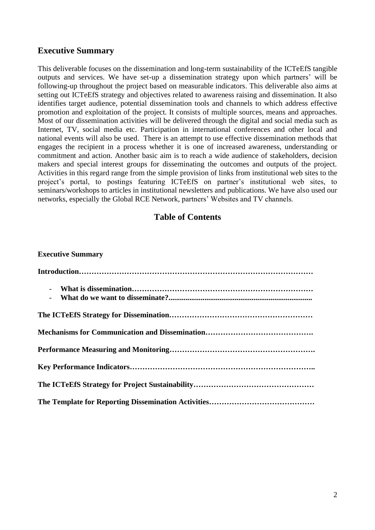# **Executive Summary**

This deliverable focuses on the dissemination and long-term sustainability of the ICTeEfS tangible outputs and services. We have set-up a dissemination strategy upon which partners' will be following-up throughout the project based on measurable indicators. This deliverable also aims at setting out ICTeEfS strategy and objectives related to awareness raising and dissemination. It also identifies target audience, potential dissemination tools and channels to which address effective promotion and exploitation of the project. It consists of multiple sources, means and approaches. Most of our dissemination activities will be delivered through the digital and social media such as Internet, TV, social media etc. Participation in international conferences and other local and national events will also be used. There is an attempt to use effective dissemination methods that engages the recipient in a process whether it is one of increased awareness, understanding or commitment and action. Another basic aim is to reach a wide audience of stakeholders, decision makers and special interest groups for disseminating the outcomes and outputs of the project. Activities in this regard range from the simple provision of links from institutional web sites to the project's portal, to postings featuring ICTeEfS on partner's institutional web sites, to seminars/workshops to articles in institutional newsletters and publications. We have also used our networks, especially the Global RCE Network, partners' Websites and TV channels.

## **Table of Contents**

| <b>Executive Summary</b> |
|--------------------------|
|                          |
|                          |
|                          |
|                          |
|                          |
|                          |
|                          |
|                          |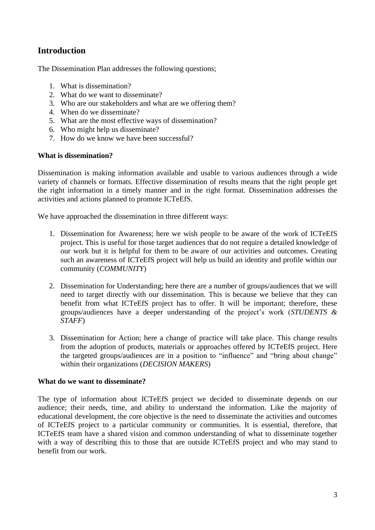# **Introduction**

The Dissemination Plan addresses the following questions;

- 1. What is dissemination?
- 2. What do we want to disseminate?
- 3. Who are our stakeholders and what are we offering them?
- 4. When do we disseminate?
- 5. What are the most effective ways of dissemination?
- 6. Who might help us disseminate?
- 7. How do we know we have been successful?

#### **What is dissemination?**

Dissemination is making information available and usable to various audiences through a wide variety of channels or formats. Effective dissemination of results means that the right people get the right information in a timely manner and in the right format. Dissemination addresses the activities and actions planned to promote ICTeEfS.

We have approached the dissemination in three different ways:

- 1. Dissemination for Awareness; here we wish people to be aware of the work of ICTeEfS project. This is useful for those target audiences that do not require a detailed knowledge of our work but it is helpful for them to be aware of our activities and outcomes. Creating such an awareness of ICTeEfS project will help us build an identity and profile within our community (*COMMUNITY*)
- 2. Dissemination for Understanding; here there are a number of groups/audiences that we will need to target directly with our dissemination. This is because we believe that they can benefit from what ICTeEfS project has to offer. It will be important; therefore, these groups/audiences have a deeper understanding of the project's work (*STUDENTS & STAFF*)
- 3. Dissemination for Action; here a change of practice will take place. This change results from the adoption of products, materials or approaches offered by ICTeEfS project. Here the targeted groups/audiences are in a position to "influence" and "bring about change" within their organizations (*DECISION MAKERS*)

#### **What do we want to disseminate?**

The type of information about ICTeEfS project we decided to disseminate depends on our audience; their needs, time, and ability to understand the information. Like the majority of educational development, the core objective is the need to disseminate the activities and outcomes of ICTeEfS project to a particular community or communities. It is essential, therefore, that ICTeEfS team have a shared vision and common understanding of what to disseminate together with a way of describing this to those that are outside ICTeEfS project and who may stand to benefit from our work.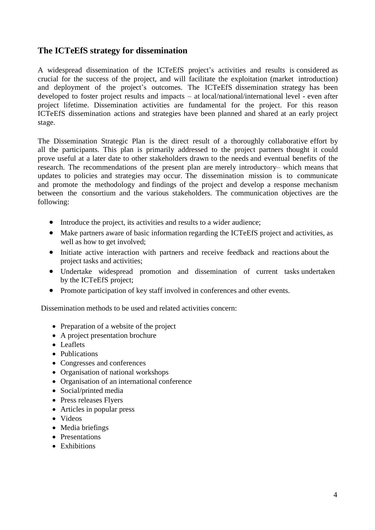# **The ICTeEfS strategy for dissemination**

A widespread dissemination of the ICTeEfS project's activities and results is considered as crucial for the success of the project, and will facilitate the exploitation (market introduction) and deployment of the project's outcomes. The ICTeEfS dissemination strategy has been developed to foster project results and impacts – at local/national/international level - even after project lifetime. Dissemination activities are fundamental for the project. For this reason ICTeEfS dissemination actions and strategies have been planned and shared at an early project stage.

The Dissemination Strategic Plan is the direct result of a thoroughly collaborative effort by all the participants. This plan is primarily addressed to the project partners thought it could prove useful at a later date to other stakeholders drawn to the needs and eventual benefits of the research. The recommendations of the present plan are merely introductory– which means that updates to policies and strategies may occur. The dissemination mission is to communicate and promote the methodology and findings of the project and develop a response mechanism between the consortium and the various stakeholders. The communication objectives are the following:

- Introduce the project, its activities and results to a wider audience;
- Make partners aware of basic information regarding the ICTeEfS project and activities, as well as how to get involved;
- Initiate active interaction with partners and receive feedback and reactions about the project tasks and activities;
- Undertake widespread promotion and dissemination of current tasks undertaken by the ICTeEfS project;
- Promote participation of key staff involved in conferences and other events.

Dissemination methods to be used and related activities concern:

- Preparation of a website of the project
- A project presentation brochure
- Leaflets
- Publications
- Congresses and conferences
- Organisation of national workshops
- Organisation of an international conference
- Social/printed media
- Press releases Flyers
- Articles in popular press
- Videos
- Media briefings
- Presentations
- Exhibitions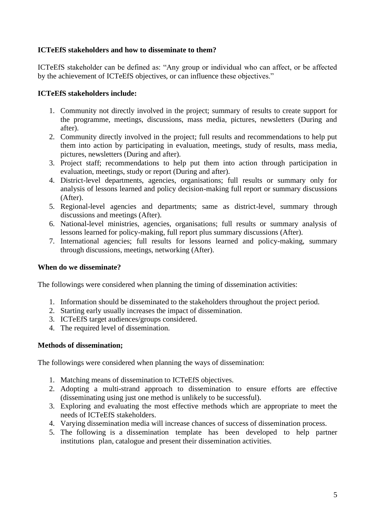## **ICTeEfS stakeholders and how to disseminate to them?**

ICTeEfS stakeholder can be defined as: "Any group or individual who can affect, or be affected by the achievement of ICTeEfS objectives, or can influence these objectives."

## **ICTeEfS stakeholders include:**

- 1. Community not directly involved in the project; summary of results to create support for the programme, meetings, discussions, mass media, pictures, newsletters (During and after).
- 2. Community directly involved in the project; full results and recommendations to help put them into action by participating in evaluation, meetings, study of results, mass media, pictures, newsletters (During and after).
- 3. Project staff; recommendations to help put them into action through participation in evaluation, meetings, study or report (During and after).
- 4. District-level departments, agencies, organisations; full results or summary only for analysis of lessons learned and policy decision-making full report or summary discussions (After).
- 5. Regional-level agencies and departments; same as district-level, summary through discussions and meetings (After).
- 6. National-level ministries, agencies, organisations; full results or summary analysis of lessons learned for policy-making, full report plus summary discussions (After).
- 7. International agencies; full results for lessons learned and policy-making, summary through discussions, meetings, networking (After).

## **When do we disseminate?**

The followings were considered when planning the timing of dissemination activities:

- 1. Information should be disseminated to the stakeholders throughout the project period.
- 2. Starting early usually increases the impact of dissemination.
- 3. ICTeEfS target audiences/groups considered.
- 4. The required level of dissemination.

## **Methods of dissemination;**

The followings were considered when planning the ways of dissemination:

- 1. Matching means of dissemination to ICTeEfS objectives.
- 2. Adopting a multi-strand approach to dissemination to ensure efforts are effective (disseminating using just one method is unlikely to be successful).
- 3. Exploring and evaluating the most effective methods which are appropriate to meet the needs of ICTeEfS stakeholders.
- 4. Varying dissemination media will increase chances of success of dissemination process.
- 5. The following is a dissemination template has been developed to help partner institutions plan, catalogue and present their dissemination activities.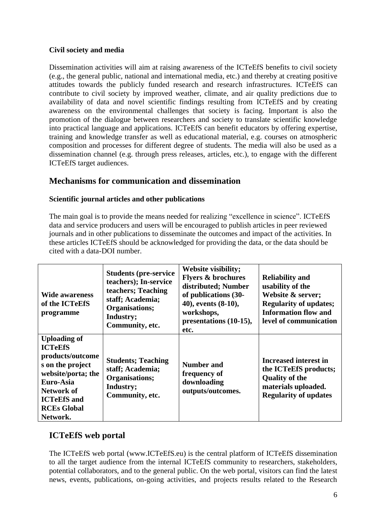## **Civil society and media**

Dissemination activities will aim at raising awareness of the ICTeEfS benefits to civil society (e.g., the general public, national and international media, etc.) and thereby at creating positive attitudes towards the publicly funded research and research infrastructures. ICTeEfS can contribute to civil society by improved weather, climate, and air quality predictions due to availability of data and novel scientific findings resulting from ICTeEfS and by creating awareness on the environmental challenges that society is facing. Important is also the promotion of the dialogue between researchers and society to translate scientific knowledge into practical language and applications. ICTeEfS can benefit educators by offering expertise, training and knowledge transfer as well as educational material, e.g. courses on atmospheric composition and processes for different degree of students. The media will also be used as a dissemination channel (e.g. through press releases, articles, etc.), to engage with the different ICTeEfS target audiences.

# **Mechanisms for communication and dissemination**

## **Scientific journal articles and other publications**

The main goal is to provide the means needed for realizing "excellence in science". ICTeEfS data and service producers and users will be encouraged to publish articles in peer reviewed journals and in other publications to disseminate the outcomes and impact of the activities. In these articles ICTeEfS should be acknowledged for providing the data, or the data should be cited with a data-DOI number.

| <b>Wide awareness</b><br>of the ICTeEfS<br>programme                                                                                                                                          | <b>Students (pre-service)</b><br>teachers); In-service<br>teachers; Teaching<br>staff; Academia;<br>Organisations;<br>Industry;<br>Community, etc. | Website visibility;<br><b>Flyers &amp; brochures</b><br>distributed; Number<br>of publications (30-<br>40), events (8-10),<br>workshops,<br>presentations (10-15),<br>etc. | <b>Reliability and</b><br>usability of the<br>Website & server;<br><b>Regularity of updates;</b><br><b>Information flow and</b><br>level of communication |
|-----------------------------------------------------------------------------------------------------------------------------------------------------------------------------------------------|----------------------------------------------------------------------------------------------------------------------------------------------------|----------------------------------------------------------------------------------------------------------------------------------------------------------------------------|-----------------------------------------------------------------------------------------------------------------------------------------------------------|
| <b>Uploading of</b><br><b>ICTeEfS</b><br>products/outcome<br>s on the project<br>website/porta; the<br>Euro-Asia<br><b>Network of</b><br><b>ICTeEfS</b> and<br><b>RCEs Global</b><br>Network. | <b>Students</b> ; Teaching<br>staff; Academia;<br>Organisations;<br>Industry;<br>Community, etc.                                                   | <b>Number and</b><br>frequency of<br>downloading<br>outputs/outcomes.                                                                                                      | <b>Increased interest in</b><br>the ICTeEfS products;<br><b>Quality of the</b><br>materials uploaded.<br><b>Regularity of updates</b>                     |

# **ICTeEfS web portal**

The ICTeEfS web portal (www.ICTeEfS.eu) is the central platform of ICTeEfS dissemination to all the target audience from the internal ICTeEfS community to researchers, stakeholders, potential collaborators, and to the general public. On the web portal, visitors can find the latest news, events, publications, on-going activities, and projects results related to the Research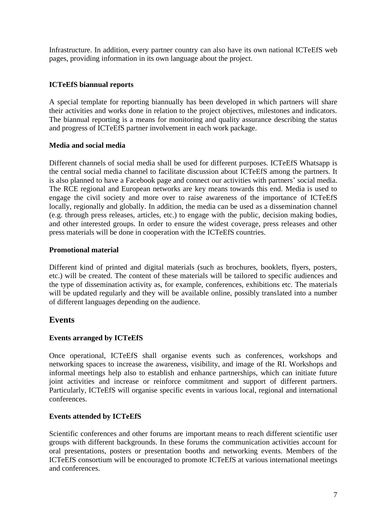Infrastructure. In addition, every partner country can also have its own national ICTeEfS web pages, providing information in its own language about the project.

## **ICTeEfS biannual reports**

A special template for reporting biannually has been developed in which partners will share their activities and works done in relation to the project objectives, milestones and indicators. The biannual reporting is a means for monitoring and quality assurance describing the status and progress of ICTeEfS partner involvement in each work package.

## **Media and social media**

Different channels of social media shall be used for different purposes. ICTeEfS Whatsapp is the central social media channel to facilitate discussion about ICTeEfS among the partners. It is also planned to have a Facebook page and connect our activities with partners' social media. The RCE regional and European networks are key means towards this end. Media is used to engage the civil society and more over to raise awareness of the importance of ICTeEfS locally, regionally and globally. In addition, the media can be used as a dissemination channel (e.g. through press releases, articles, etc.) to engage with the public, decision making bodies, and other interested groups. In order to ensure the widest coverage, press releases and other press materials will be done in cooperation with the ICTeEfS countries.

#### **Promotional material**

Different kind of printed and digital materials (such as brochures, booklets, flyers, posters, etc.) will be created. The content of these materials will be tailored to specific audiences and the type of dissemination activity as, for example, conferences, exhibitions etc. The materials will be updated regularly and they will be available online, possibly translated into a number of different languages depending on the audience.

# **Events**

## **Events arranged by ICTeEfS**

Once operational, ICTeEfS shall organise events such as conferences, workshops and networking spaces to increase the awareness, visibility, and image of the RI. Workshops and informal meetings help also to establish and enhance partnerships, which can initiate future joint activities and increase or reinforce commitment and support of different partners. Particularly, ICTeEfS will organise specific events in various local, regional and international conferences.

## **Events attended by ICTeEfS**

Scientific conferences and other forums are important means to reach different scientific user groups with different backgrounds. In these forums the communication activities account for oral presentations, posters or presentation booths and networking events. Members of the ICTeEfS consortium will be encouraged to promote ICTeEfS at various international meetings and conferences.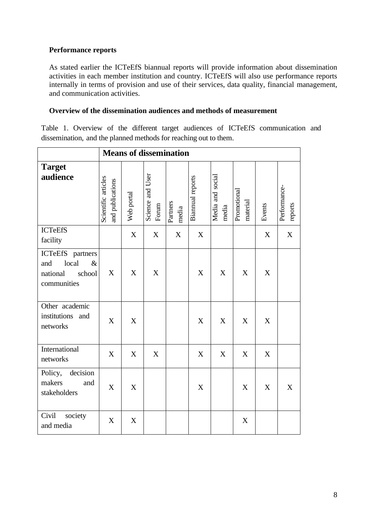## **Performance reports**

As stated earlier the ICTeEfS biannual reports will provide information about dissemination activities in each member institution and country. ICTeEfS will also use performance reports internally in terms of provision and use of their services, data quality, financial management, and communication activities.

#### **Overview of the dissemination audiences and methods of measurement**

Table 1. Overview of the different target audiences of ICTeEfS communication and dissemination, and the planned methods for reaching out to them.

|                                                                               |                                         |                  |                           | <b>Means of dissemination</b> |                         |                           |                         |                  |                         |
|-------------------------------------------------------------------------------|-----------------------------------------|------------------|---------------------------|-------------------------------|-------------------------|---------------------------|-------------------------|------------------|-------------------------|
| <b>Target</b><br>audience                                                     | Scientific articles<br>and publications | Web portal       | Science and User<br>Forum | Partners<br>media             | <b>Biannual</b> reports | Media and social<br>media | Promotional<br>material | Events           | Performance-<br>reports |
| <b>ICTeEfS</b><br>facility                                                    |                                         | X                | X                         | X                             | $\boldsymbol{X}$        |                           |                         | X                | X                       |
| ICTeEfS partners<br>local<br>and<br>$\&$<br>school<br>national<br>communities | X                                       | X                | X                         |                               | $\boldsymbol{X}$        | $\boldsymbol{X}$          | X                       | $\boldsymbol{X}$ |                         |
| Other academic<br>institutions<br>and<br>networks                             | X                                       | X                |                           |                               | $\mathbf X$             | X                         | X                       | X                |                         |
| International<br>networks                                                     | X                                       | $\boldsymbol{X}$ | X                         |                               | $\mathbf X$             | X                         | X                       | X                |                         |
| decision<br>Policy,<br>makers<br>and<br>stakeholders                          | X                                       | X                |                           |                               | X                       |                           | X                       | X                | X                       |
| Civil<br>society<br>and media                                                 | X                                       | X                |                           |                               |                         |                           | X                       |                  |                         |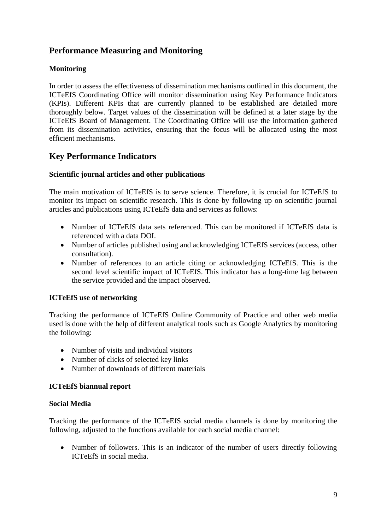# **Performance Measuring and Monitoring**

## **Monitoring**

In order to assess the effectiveness of dissemination mechanisms outlined in this document, the ICTeEfS Coordinating Office will monitor dissemination using Key Performance Indicators (KPIs). Different KPIs that are currently planned to be established are detailed more thoroughly below. Target values of the dissemination will be defined at a later stage by the ICTeEfS Board of Management. The Coordinating Office will use the information gathered from its dissemination activities, ensuring that the focus will be allocated using the most efficient mechanisms.

# **Key Performance Indicators**

## **Scientific journal articles and other publications**

The main motivation of ICTeEfS is to serve science. Therefore, it is crucial for ICTeEfS to monitor its impact on scientific research. This is done by following up on scientific journal articles and publications using ICTeEfS data and services as follows:

- Number of ICTeEfS data sets referenced. This can be monitored if ICTeEfS data is referenced with a data DOI.
- Number of articles published using and acknowledging ICTeEfS services (access, other consultation).
- Number of references to an article citing or acknowledging ICTeEfS. This is the second level scientific impact of ICTeEfS. This indicator has a long-time lag between the service provided and the impact observed.

## **ICTeEfS use of networking**

Tracking the performance of ICTeEfS Online Community of Practice and other web media used is done with the help of different analytical tools such as Google Analytics by monitoring the following:

- Number of visits and individual visitors
- Number of clicks of selected key links
- Number of downloads of different materials

#### **ICTeEfS biannual report**

#### **Social Media**

Tracking the performance of the ICTeEfS social media channels is done by monitoring the following, adjusted to the functions available for each social media channel:

• Number of followers. This is an indicator of the number of users directly following ICTeEfS in social media.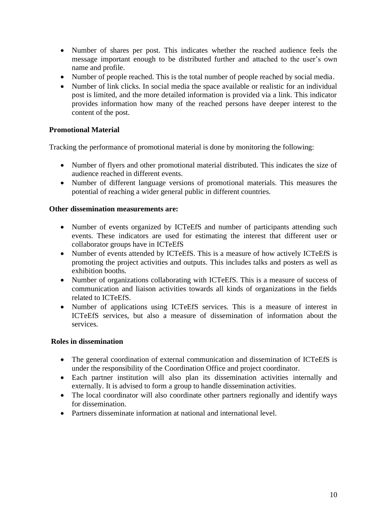- Number of shares per post. This indicates whether the reached audience feels the message important enough to be distributed further and attached to the user's own name and profile.
- Number of people reached. This is the total number of people reached by social media.
- Number of link clicks. In social media the space available or realistic for an individual post is limited, and the more detailed information is provided via a link. This indicator provides information how many of the reached persons have deeper interest to the content of the post.

## **Promotional Material**

Tracking the performance of promotional material is done by monitoring the following:

- Number of flyers and other promotional material distributed. This indicates the size of audience reached in different events.
- Number of different language versions of promotional materials. This measures the potential of reaching a wider general public in different countries.

#### **Other dissemination measurements are:**

- Number of events organized by ICTeEfS and number of participants attending such events. These indicators are used for estimating the interest that different user or collaborator groups have in ICTeEfS
- Number of events attended by ICTeEfS. This is a measure of how actively ICTeEfS is promoting the project activities and outputs. This includes talks and posters as well as exhibition booths.
- Number of organizations collaborating with ICTeEfS. This is a measure of success of communication and liaison activities towards all kinds of organizations in the fields related to ICTeEfS.
- Number of applications using ICTeEfS services. This is a measure of interest in ICTeEfS services, but also a measure of dissemination of information about the services.

#### **Roles in dissemination**

- The general coordination of external communication and dissemination of ICTeEfS is under the responsibility of the Coordination Office and project coordinator.
- Each partner institution will also plan its dissemination activities internally and externally. It is advised to form a group to handle dissemination activities.
- The local coordinator will also coordinate other partners regionally and identify ways for dissemination.
- Partners disseminate information at national and international level.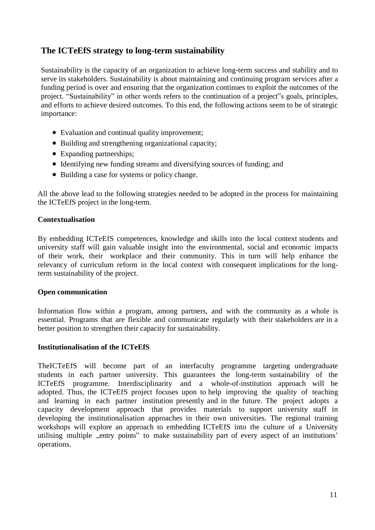# **The ICTeEfS strategy to long-term sustainability**

Sustainability is the capacity of an organization to achieve long-term success and stability and to serve its stakeholders. Sustainability is about maintaining and continuing program services after a funding period is over and ensuring that the organization continues to exploit the outcomes of the project. "Sustainability" in other words refers to the continuation of a project"s goals, principles, and efforts to achieve desired outcomes. To this end, the following actions seem to be of strategic importance:

- Evaluation and continual quality improvement;
- Building and strengthening organizational capacity;
- Expanding partnerships;
- Identifying new funding streams and diversifying sources of funding; and
- Building a case for systems or policy change.

All the above lead to the following strategies needed to be adopted in the process for maintaining the ICTeEfS project in the long-term.

## **Contextualisation**

By embedding ICTeEfS competences, knowledge and skills into the local context students and university staff will gain valuable insight into the environmental, social and economic impacts of their work, their workplace and their community. This in turn will help enhance the relevancy of curriculum reform in the local context with consequent implications for the longterm sustainability of the project.

#### **Open communication**

Information flow within a program, among partners, and with the community as a whole is essential. Programs that are flexible and communicate regularly with their stakeholders are in a better position to strengthen their capacity for sustainability.

## **Institutionalisation of the ICTeEfS**

TheICTeEfS will become part of an interfaculty programme targeting undergraduate students in each partner university. This guarantees the long-term sustainability of the ICTeEfS programme. Interdisciplinarity and a whole-of-institution approach will be adopted. Thus, the ICTeEfS project focuses upon to help improving the quality of teaching and learning in each partner institution presently and in the future. The project adopts a capacity development approach that provides materials to support university staff in developing the institutionalisation approaches in their own universities. The regional training workshops will explore an approach to embedding ICTeEfS into the culture of a University utilising multiple "entry points" to make sustainability part of every aspect of an institutions' operations.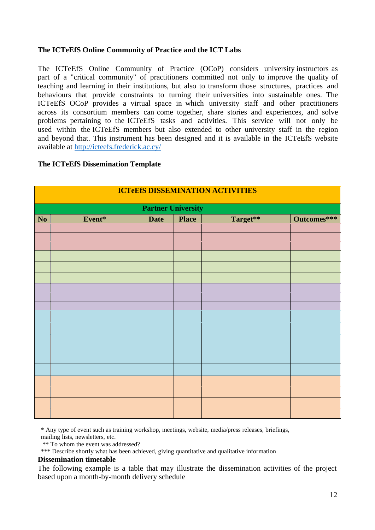## **The ICTeEfS Online Community of Practice and the ICT Labs**

The ICTeEfS Online Community of Practice (OCoP) considers university instructors as part of a "critical community" of practitioners committed not only to improve the quality of teaching and learning in their institutions, but also to transform those structures, practices and behaviours that provide constraints to turning their universities into sustainable ones. The ICTeEfS OCoP provides a virtual space in which university staff and other practitioners across its consortium members can come together, share stories and experiences, and solve problems pertaining to the ICTeEfS tasks and activities. This service will not only be used within the ICTeEfS members but also extended to other university staff in the region and beyond that. This instrument has been designed and it is available in the ICTeEfS website available at <http://icteefs.frederick.ac.cy/>

#### **The ICTeEfS Dissemination Template**

|     | <b>ICTeEfS DISSEMINATION ACTIVITIES</b> |             |              |          |             |  |  |  |  |  |  |  |  |  |
|-----|-----------------------------------------|-------------|--------------|----------|-------------|--|--|--|--|--|--|--|--|--|
|     | <b>Partner University</b>               |             |              |          |             |  |  |  |  |  |  |  |  |  |
| No. | Event*                                  | <b>Date</b> | <b>Place</b> | Target** | Outcomes*** |  |  |  |  |  |  |  |  |  |
|     |                                         |             |              |          |             |  |  |  |  |  |  |  |  |  |
|     |                                         |             |              |          |             |  |  |  |  |  |  |  |  |  |
|     |                                         |             |              |          |             |  |  |  |  |  |  |  |  |  |
|     |                                         |             |              |          |             |  |  |  |  |  |  |  |  |  |
|     |                                         |             |              |          |             |  |  |  |  |  |  |  |  |  |
|     |                                         |             |              |          |             |  |  |  |  |  |  |  |  |  |
|     |                                         |             |              |          |             |  |  |  |  |  |  |  |  |  |
|     |                                         |             |              |          |             |  |  |  |  |  |  |  |  |  |
|     |                                         |             |              |          |             |  |  |  |  |  |  |  |  |  |
|     |                                         |             |              |          |             |  |  |  |  |  |  |  |  |  |
|     |                                         |             |              |          |             |  |  |  |  |  |  |  |  |  |
|     |                                         |             |              |          |             |  |  |  |  |  |  |  |  |  |
|     |                                         |             |              |          |             |  |  |  |  |  |  |  |  |  |
|     |                                         |             |              |          |             |  |  |  |  |  |  |  |  |  |
|     |                                         |             |              |          |             |  |  |  |  |  |  |  |  |  |
|     |                                         |             |              |          |             |  |  |  |  |  |  |  |  |  |
|     |                                         |             |              |          |             |  |  |  |  |  |  |  |  |  |
|     |                                         |             |              |          |             |  |  |  |  |  |  |  |  |  |

\* Any type of event such as training workshop, meetings, website, media/press releases, briefings, mailing lists, newsletters, etc.

\*\* To whom the event was addressed?

\*\*\* Describe shortly what has been achieved, giving quantitative and qualitative information

#### **Dissemination timetable**

The following example is a table that may illustrate the dissemination activities of the project based upon a month-by-month delivery schedule